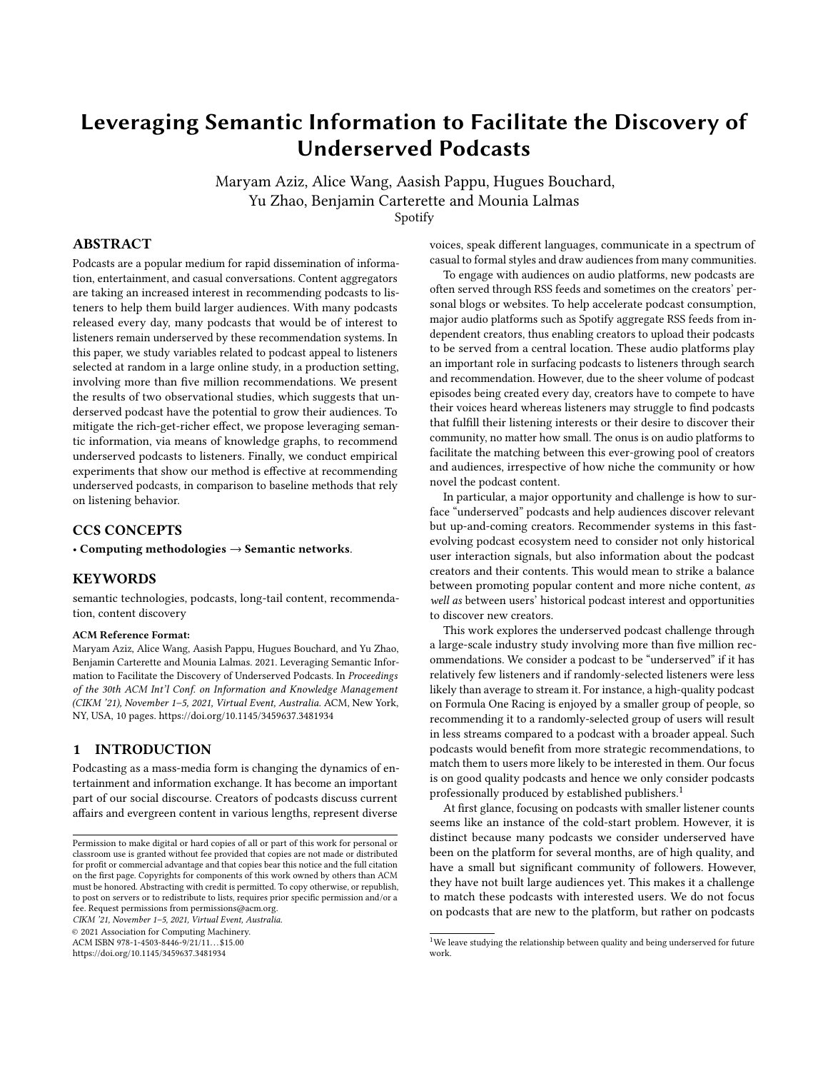# Leveraging Semantic Information to Facilitate the Discovery of Underserved Podcasts

Maryam Aziz, Alice Wang, Aasish Pappu, Hugues Bouchard, Yu Zhao, Benjamin Carterette and Mounia Lalmas

Spotify

# ABSTRACT

Podcasts are a popular medium for rapid dissemination of information, entertainment, and casual conversations. Content aggregators are taking an increased interest in recommending podcasts to listeners to help them build larger audiences. With many podcasts released every day, many podcasts that would be of interest to listeners remain underserved by these recommendation systems. In this paper, we study variables related to podcast appeal to listeners selected at random in a large online study, in a production setting, involving more than five million recommendations. We present the results of two observational studies, which suggests that underserved podcast have the potential to grow their audiences. To mitigate the rich-get-richer effect, we propose leveraging semantic information, via means of knowledge graphs, to recommend underserved podcasts to listeners. Finally, we conduct empirical experiments that show our method is effective at recommending underserved podcasts, in comparison to baseline methods that rely on listening behavior.

# CCS CONCEPTS

• Computing methodologies → Semantic networks.

### **KEYWORDS**

semantic technologies, podcasts, long-tail content, recommendation, content discovery

#### ACM Reference Format:

Maryam Aziz, Alice Wang, Aasish Pappu, Hugues Bouchard, and Yu Zhao, Benjamin Carterette and Mounia Lalmas. 2021. Leveraging Semantic Information to Facilitate the Discovery of Underserved Podcasts. In Proceedings of the 30th ACM Int'l Conf. on Information and Knowledge Management (CIKM '21), November 1–5, 2021, Virtual Event, Australia. ACM, New York, NY, USA, [10](#page-9-0) pages.<https://doi.org/10.1145/3459637.3481934>

## 1 INTRODUCTION

Podcasting as a mass-media form is changing the dynamics of entertainment and information exchange. It has become an important part of our social discourse. Creators of podcasts discuss current affairs and evergreen content in various lengths, represent diverse

CIKM '21, November 1–5, 2021, Virtual Event, Australia.

© 2021 Association for Computing Machinery.

ACM ISBN 978-1-4503-8446-9/21/11...\$15.00

<https://doi.org/10.1145/3459637.3481934>

voices, speak different languages, communicate in a spectrum of casual to formal styles and draw audiences from many communities.

To engage with audiences on audio platforms, new podcasts are often served through RSS feeds and sometimes on the creators' personal blogs or websites. To help accelerate podcast consumption, major audio platforms such as Spotify aggregate RSS feeds from independent creators, thus enabling creators to upload their podcasts to be served from a central location. These audio platforms play an important role in surfacing podcasts to listeners through search and recommendation. However, due to the sheer volume of podcast episodes being created every day, creators have to compete to have their voices heard whereas listeners may struggle to find podcasts that fulfill their listening interests or their desire to discover their community, no matter how small. The onus is on audio platforms to facilitate the matching between this ever-growing pool of creators and audiences, irrespective of how niche the community or how novel the podcast content.

In particular, a major opportunity and challenge is how to surface "underserved" podcasts and help audiences discover relevant but up-and-coming creators. Recommender systems in this fastevolving podcast ecosystem need to consider not only historical user interaction signals, but also information about the podcast creators and their contents. This would mean to strike a balance between promoting popular content and more niche content, as well as between users' historical podcast interest and opportunities to discover new creators.

This work explores the underserved podcast challenge through a large-scale industry study involving more than five million recommendations. We consider a podcast to be "underserved" if it has relatively few listeners and if randomly-selected listeners were less likely than average to stream it. For instance, a high-quality podcast on Formula One Racing is enjoyed by a smaller group of people, so recommending it to a randomly-selected group of users will result in less streams compared to a podcast with a broader appeal. Such podcasts would benefit from more strategic recommendations, to match them to users more likely to be interested in them. Our focus is on good quality podcasts and hence we only consider podcasts professionally produced by established publishers.<sup>[1](#page-0-0)</sup>

At first glance, focusing on podcasts with smaller listener counts seems like an instance of the cold-start problem. However, it is distinct because many podcasts we consider underserved have been on the platform for several months, are of high quality, and have a small but significant community of followers. However, they have not built large audiences yet. This makes it a challenge to match these podcasts with interested users. We do not focus on podcasts that are new to the platform, but rather on podcasts

Permission to make digital or hard copies of all or part of this work for personal or classroom use is granted without fee provided that copies are not made or distributed for profit or commercial advantage and that copies bear this notice and the full citation on the first page. Copyrights for components of this work owned by others than ACM must be honored. Abstracting with credit is permitted. To copy otherwise, or republish, to post on servers or to redistribute to lists, requires prior specific permission and/or a fee. Request permissions from permissions@acm.org.

<span id="page-0-0"></span> $^{\rm 1}{\rm We}$  leave studying the relationship between quality and being underserved for future work.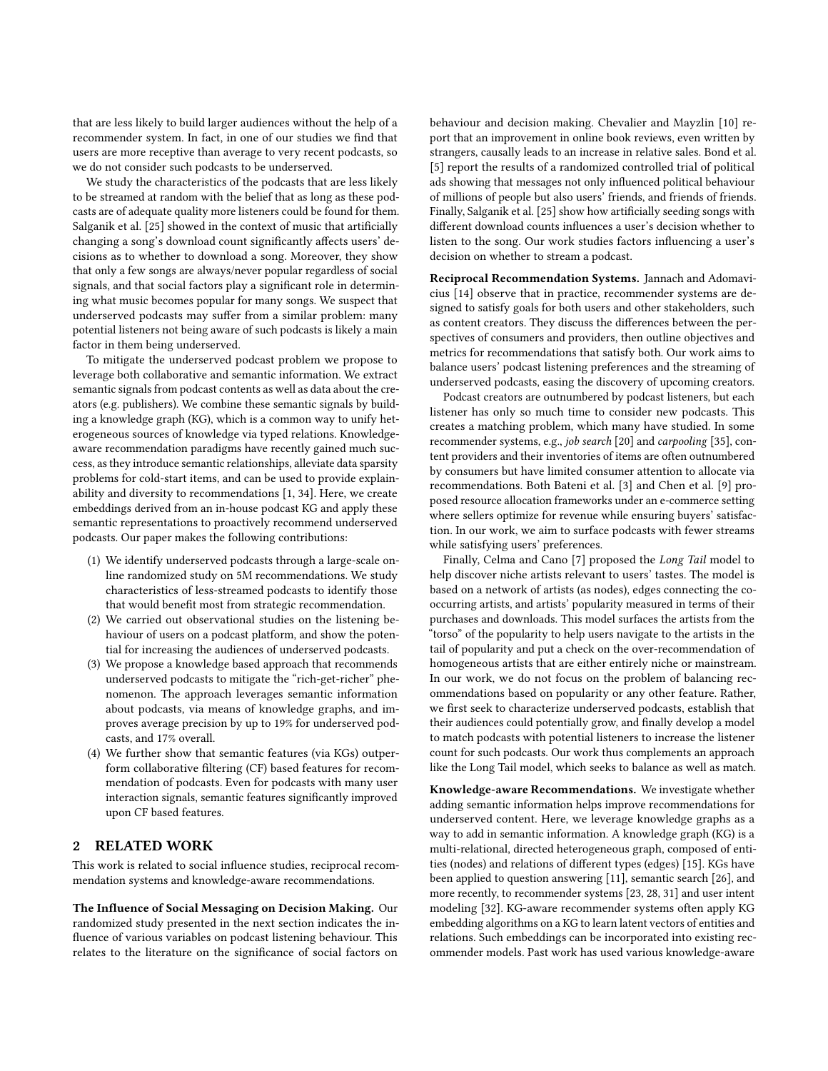that are less likely to build larger audiences without the help of a recommender system. In fact, in one of our studies we find that users are more receptive than average to very recent podcasts, so we do not consider such podcasts to be underserved.

We study the characteristics of the podcasts that are less likely to be streamed at random with the belief that as long as these podcasts are of adequate quality more listeners could be found for them. Salganik et al. [\[25\]](#page-9-1) showed in the context of music that artificially changing a song's download count significantly affects users' decisions as to whether to download a song. Moreover, they show that only a few songs are always/never popular regardless of social signals, and that social factors play a significant role in determining what music becomes popular for many songs. We suspect that underserved podcasts may suffer from a similar problem: many potential listeners not being aware of such podcasts is likely a main factor in them being underserved.

To mitigate the underserved podcast problem we propose to leverage both collaborative and semantic information. We extract semantic signals from podcast contents as well as data about the creators (e.g. publishers). We combine these semantic signals by building a knowledge graph (KG), which is a common way to unify heterogeneous sources of knowledge via typed relations. Knowledgeaware recommendation paradigms have recently gained much success, as they introduce semantic relationships, alleviate data sparsity problems for cold-start items, and can be used to provide explainability and diversity to recommendations [\[1,](#page-9-2) [34\]](#page-9-3). Here, we create embeddings derived from an in-house podcast KG and apply these semantic representations to proactively recommend underserved podcasts. Our paper makes the following contributions:

- (1) We identify underserved podcasts through a large-scale online randomized study on 5M recommendations. We study characteristics of less-streamed podcasts to identify those that would benefit most from strategic recommendation.
- (2) We carried out observational studies on the listening behaviour of users on a podcast platform, and show the potential for increasing the audiences of underserved podcasts.
- (3) We propose a knowledge based approach that recommends underserved podcasts to mitigate the "rich-get-richer" phenomenon. The approach leverages semantic information about podcasts, via means of knowledge graphs, and improves average precision by up to 19% for underserved podcasts, and 17% overall.
- (4) We further show that semantic features (via KGs) outperform collaborative filtering (CF) based features for recommendation of podcasts. Even for podcasts with many user interaction signals, semantic features significantly improved upon CF based features.

# 2 RELATED WORK

This work is related to social influence studies, reciprocal recommendation systems and knowledge-aware recommendations.

The Influence of Social Messaging on Decision Making. Our randomized study presented in the next section indicates the influence of various variables on podcast listening behaviour. This relates to the literature on the significance of social factors on

behaviour and decision making. Chevalier and Mayzlin [\[10\]](#page-9-4) report that an improvement in online book reviews, even written by strangers, causally leads to an increase in relative sales. Bond et al. [\[5\]](#page-9-5) report the results of a randomized controlled trial of political ads showing that messages not only influenced political behaviour of millions of people but also users' friends, and friends of friends. Finally, Salganik et al. [\[25\]](#page-9-1) show how artificially seeding songs with different download counts influences a user's decision whether to listen to the song. Our work studies factors influencing a user's decision on whether to stream a podcast.

Reciprocal Recommendation Systems. Jannach and Adomavicius [\[14\]](#page-9-6) observe that in practice, recommender systems are designed to satisfy goals for both users and other stakeholders, such as content creators. They discuss the differences between the perspectives of consumers and providers, then outline objectives and metrics for recommendations that satisfy both. Our work aims to balance users' podcast listening preferences and the streaming of underserved podcasts, easing the discovery of upcoming creators.

Podcast creators are outnumbered by podcast listeners, but each listener has only so much time to consider new podcasts. This creates a matching problem, which many have studied. In some recommender systems, e.g., job search [\[20\]](#page-9-7) and carpooling [\[35\]](#page-9-8), content providers and their inventories of items are often outnumbered by consumers but have limited consumer attention to allocate via recommendations. Both Bateni et al. [\[3\]](#page-9-9) and Chen et al. [\[9\]](#page-9-10) proposed resource allocation frameworks under an e-commerce setting where sellers optimize for revenue while ensuring buyers' satisfaction. In our work, we aim to surface podcasts with fewer streams while satisfying users' preferences.

Finally, Celma and Cano [\[7\]](#page-9-11) proposed the Long Tail model to help discover niche artists relevant to users' tastes. The model is based on a network of artists (as nodes), edges connecting the cooccurring artists, and artists' popularity measured in terms of their purchases and downloads. This model surfaces the artists from the "torso" of the popularity to help users navigate to the artists in the tail of popularity and put a check on the over-recommendation of homogeneous artists that are either entirely niche or mainstream. In our work, we do not focus on the problem of balancing recommendations based on popularity or any other feature. Rather, we first seek to characterize underserved podcasts, establish that their audiences could potentially grow, and finally develop a model to match podcasts with potential listeners to increase the listener count for such podcasts. Our work thus complements an approach like the Long Tail model, which seeks to balance as well as match.

<span id="page-1-0"></span>Knowledge-aware Recommendations. We investigate whether adding semantic information helps improve recommendations for underserved content. Here, we leverage knowledge graphs as a way to add in semantic information. A knowledge graph (KG) is a multi-relational, directed heterogeneous graph, composed of entities (nodes) and relations of different types (edges) [\[15\]](#page-9-12). KGs have been applied to question answering [\[11\]](#page-9-13), semantic search [\[26\]](#page-9-14), and more recently, to recommender systems [\[23,](#page-9-15) [28,](#page-9-16) [31\]](#page-9-17) and user intent modeling [\[32\]](#page-9-18). KG-aware recommender systems often apply KG embedding algorithms on a KG to learn latent vectors of entities and relations. Such embeddings can be incorporated into existing recommender models. Past work has used various knowledge-aware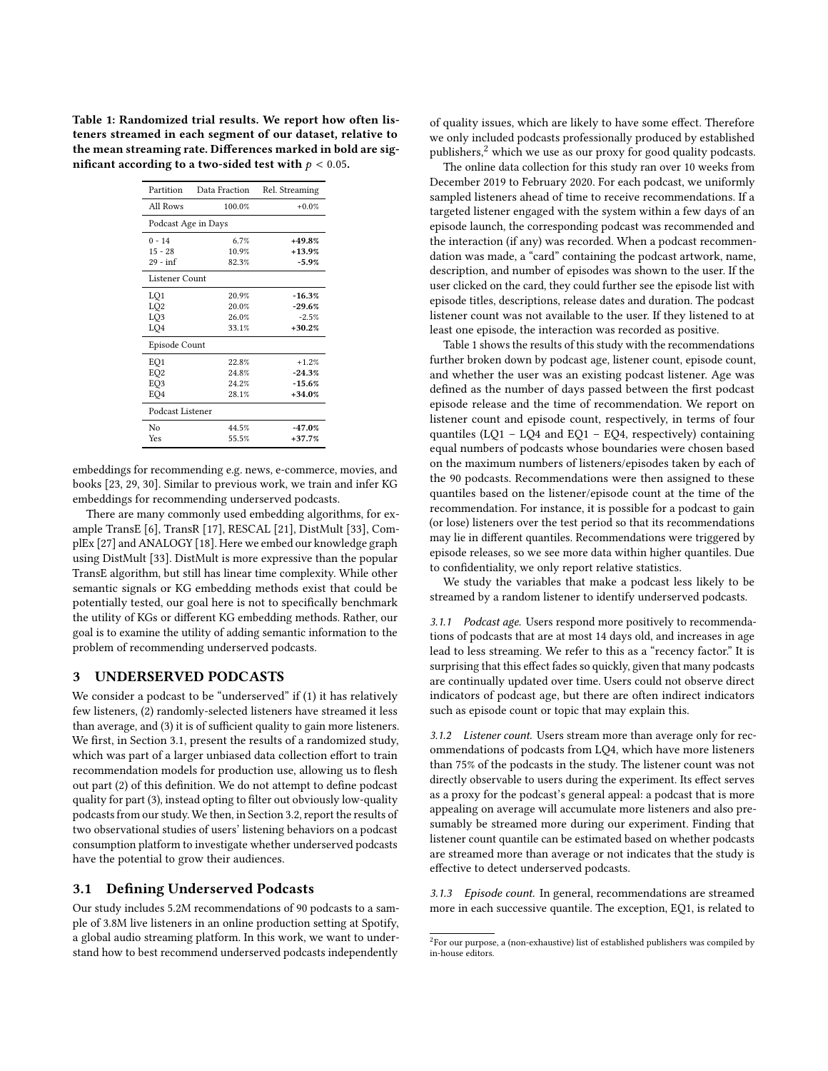<span id="page-2-2"></span>Table 1: Randomized trial results. We report how often listeners streamed in each segment of our dataset, relative to the mean streaming rate. Differences marked in bold are significant according to a two-sided test with  $p < 0.05$ .

| Partition           | Data Fraction | Rel. Streaming |  |  |  |  |  |  |
|---------------------|---------------|----------------|--|--|--|--|--|--|
| All Rows            | 100.0%        | $+0.0%$        |  |  |  |  |  |  |
| Podcast Age in Days |               |                |  |  |  |  |  |  |
| $0 - 14$            | 6.7%          | $+49.8%$       |  |  |  |  |  |  |
| $15 - 28$           | 10.9%         | $+13.9%$       |  |  |  |  |  |  |
| $29 - inf$          | 82.3%         | $-5.9%$        |  |  |  |  |  |  |
| Listener Count      |               |                |  |  |  |  |  |  |
| LQ1                 | 20.9%         | $-16.3%$       |  |  |  |  |  |  |
| LQ <sub>2</sub>     | 20.0%         | $-29.6%$       |  |  |  |  |  |  |
| LO <sub>3</sub>     | 26.0%         | $-2.5%$        |  |  |  |  |  |  |
| LO <sub>4</sub>     | 33.1%         | $+30.2%$       |  |  |  |  |  |  |
| Episode Count       |               |                |  |  |  |  |  |  |
| EQ1                 | 22.8%         | $+1.2%$        |  |  |  |  |  |  |
| EO <sub>2</sub>     | 24.8%         | $-24.3%$       |  |  |  |  |  |  |
| EO <sub>3</sub>     | 24.2%         | $-15.6%$       |  |  |  |  |  |  |
| EO <sub>4</sub>     | 28.1%         | $+34.0%$       |  |  |  |  |  |  |
| Podcast Listener    |               |                |  |  |  |  |  |  |
| Nο                  | 44.5%         | $-47.0%$       |  |  |  |  |  |  |
| Yes                 | 55.5%         | $+37.7%$       |  |  |  |  |  |  |

embeddings for recommending e.g. news, e-commerce, movies, and books [\[23,](#page-9-15) [29,](#page-9-19) [30\]](#page-9-20). Similar to previous work, we train and infer KG embeddings for recommending underserved podcasts.

There are many commonly used embedding algorithms, for example TransE [\[6\]](#page-9-21), TransR [\[17\]](#page-9-22), RESCAL [\[21\]](#page-9-23), DistMult [\[33\]](#page-9-24), ComplEx [\[27\]](#page-9-25) and ANALOGY [\[18\]](#page-9-26). Here we embed our knowledge graph using DistMult [\[33\]](#page-9-24). DistMult is more expressive than the popular TransE algorithm, but still has linear time complexity. While other semantic signals or KG embedding methods exist that could be potentially tested, our goal here is not to specifically benchmark the utility of KGs or different KG embedding methods. Rather, our goal is to examine the utility of adding semantic information to the problem of recommending underserved podcasts.

# 3 UNDERSERVED PODCASTS

We consider a podcast to be "underserved" if (1) it has relatively few listeners, (2) randomly-selected listeners have streamed it less than average, and (3) it is of sufficient quality to gain more listeners. We first, in Section [3.1,](#page-2-0) present the results of a randomized study, which was part of a larger unbiased data collection effort to train recommendation models for production use, allowing us to flesh out part (2) of this definition. We do not attempt to define podcast quality for part (3), instead opting to filter out obviously low-quality podcasts from our study. We then, in Section [3.2,](#page-3-0) report the results of two observational studies of users' listening behaviors on a podcast consumption platform to investigate whether underserved podcasts have the potential to grow their audiences.

#### <span id="page-2-0"></span>3.1 Defining Underserved Podcasts

Our study includes 5.2M recommendations of 90 podcasts to a sample of 3.8M live listeners in an online production setting at Spotify, a global audio streaming platform. In this work, we want to understand how to best recommend underserved podcasts independently

of quality issues, which are likely to have some effect. Therefore we only included podcasts professionally produced by established publishers,[2](#page-2-1) which we use as our proxy for good quality podcasts.

The online data collection for this study ran over 10 weeks from December 2019 to February 2020. For each podcast, we uniformly sampled listeners ahead of time to receive recommendations. If a targeted listener engaged with the system within a few days of an episode launch, the corresponding podcast was recommended and the interaction (if any) was recorded. When a podcast recommendation was made, a "card" containing the podcast artwork, name, description, and number of episodes was shown to the user. If the user clicked on the card, they could further see the episode list with episode titles, descriptions, release dates and duration. The podcast listener count was not available to the user. If they listened to at least one episode, the interaction was recorded as positive.

Table [1](#page-2-2) shows the results of this study with the recommendations further broken down by podcast age, listener count, episode count, and whether the user was an existing podcast listener. Age was defined as the number of days passed between the first podcast episode release and the time of recommendation. We report on listener count and episode count, respectively, in terms of four quantiles ( $LQ1 - LQ4$  and  $EQ1 - EQ4$ , respectively) containing equal numbers of podcasts whose boundaries were chosen based on the maximum numbers of listeners/episodes taken by each of the 90 podcasts. Recommendations were then assigned to these quantiles based on the listener/episode count at the time of the recommendation. For instance, it is possible for a podcast to gain (or lose) listeners over the test period so that its recommendations may lie in different quantiles. Recommendations were triggered by episode releases, so we see more data within higher quantiles. Due to confidentiality, we only report relative statistics.

We study the variables that make a podcast less likely to be streamed by a random listener to identify underserved podcasts.

3.1.1 Podcast age. Users respond more positively to recommendations of podcasts that are at most 14 days old, and increases in age lead to less streaming. We refer to this as a "recency factor." It is surprising that this effect fades so quickly, given that many podcasts are continually updated over time. Users could not observe direct indicators of podcast age, but there are often indirect indicators such as episode count or topic that may explain this.

3.1.2 Listener count. Users stream more than average only for recommendations of podcasts from LQ4, which have more listeners than 75% of the podcasts in the study. The listener count was not directly observable to users during the experiment. Its effect serves as a proxy for the podcast's general appeal: a podcast that is more appealing on average will accumulate more listeners and also presumably be streamed more during our experiment. Finding that listener count quantile can be estimated based on whether podcasts are streamed more than average or not indicates that the study is effective to detect underserved podcasts.

3.1.3 Episode count. In general, recommendations are streamed more in each successive quantile. The exception, EQ1, is related to

<span id="page-2-1"></span> $^{2}$ For our purpose, a (non-exhaustive) list of established publishers was compiled by in-house editors.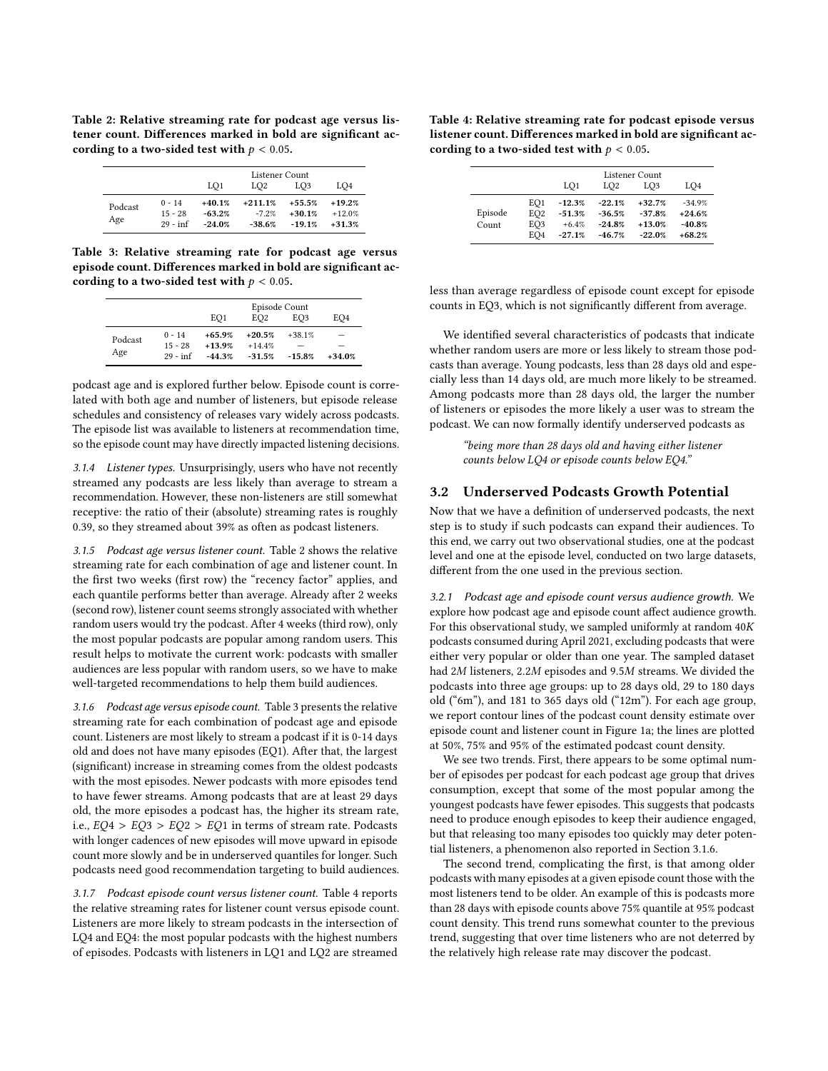<span id="page-3-1"></span>Table 2: Relative streaming rate for podcast age versus listener count. Differences marked in bold are significant according to a two-sided test with  $p < 0.05$ .

|                |                                     |                                  | Listener Count                   |                                  |                                  |
|----------------|-------------------------------------|----------------------------------|----------------------------------|----------------------------------|----------------------------------|
|                |                                     | LO <sub>1</sub>                  | LO <sub>2</sub>                  | LO <sub>3</sub>                  | LO <sub>4</sub>                  |
| Podcast<br>Age | $0 - 14$<br>$15 - 28$<br>$29 - inf$ | $+40.1%$<br>$-63.2%$<br>$-24.0%$ | $+211.1%$<br>$-7.2%$<br>$-38.6%$ | $+55.5%$<br>$+30.1%$<br>$-19.1%$ | $+19.2%$<br>$+12.0%$<br>$+31.3%$ |

<span id="page-3-2"></span>Table 3: Relative streaming rate for podcast age versus episode count. Differences marked in bold are significant according to a two-sided test with  $p < 0.05$ .

|         |            | Episode Count |                 |                 |                 |  |  |  |  |
|---------|------------|---------------|-----------------|-----------------|-----------------|--|--|--|--|
|         |            | EO1           | EO <sub>2</sub> | EO <sub>3</sub> | EO <sub>4</sub> |  |  |  |  |
| Podcast | $0 - 14$   | $+65.9%$      | $+20.5%$        | $+38.1%$        | -               |  |  |  |  |
|         | $15 - 28$  | $+13.9%$      | $+14.4%$        |                 |                 |  |  |  |  |
| Age     | $29 - inf$ | $-44.3%$      | $-31.5%$        | $-15.8%$        | $+34.0%$        |  |  |  |  |

podcast age and is explored further below. Episode count is correlated with both age and number of listeners, but episode release schedules and consistency of releases vary widely across podcasts. The episode list was available to listeners at recommendation time, so the episode count may have directly impacted listening decisions.

3.1.4 Listener types. Unsurprisingly, users who have not recently streamed any podcasts are less likely than average to stream a recommendation. However, these non-listeners are still somewhat receptive: the ratio of their (absolute) streaming rates is roughly 0.39, so they streamed about 39% as often as podcast listeners.

3.1.5 Podcast age versus listener count. Table [2](#page-3-1) shows the relative streaming rate for each combination of age and listener count. In the first two weeks (first row) the "recency factor" applies, and each quantile performs better than average. Already after 2 weeks (second row), listener count seems strongly associated with whether random users would try the podcast. After 4 weeks (third row), only the most popular podcasts are popular among random users. This result helps to motivate the current work: podcasts with smaller audiences are less popular with random users, so we have to make well-targeted recommendations to help them build audiences.

<span id="page-3-4"></span>3.1.6 Podcast age versus episode count. Table [3](#page-3-2) presents the relative streaming rate for each combination of podcast age and episode count. Listeners are most likely to stream a podcast if it is 0-14 days old and does not have many episodes (EQ1). After that, the largest (significant) increase in streaming comes from the oldest podcasts with the most episodes. Newer podcasts with more episodes tend to have fewer streams. Among podcasts that are at least 29 days old, the more episodes a podcast has, the higher its stream rate, i.e.,  $EQ4 > EQ3 > EQ2 > EQ1$  in terms of stream rate. Podcasts with longer cadences of new episodes will move upward in episode count more slowly and be in underserved quantiles for longer. Such podcasts need good recommendation targeting to build audiences.

3.1.7 Podcast episode count versus listener count. Table [4](#page-3-3) reports the relative streaming rates for listener count versus episode count. Listeners are more likely to stream podcasts in the intersection of LQ4 and EQ4: the most popular podcasts with the highest numbers of episodes. Podcasts with listeners in LQ1 and LQ2 are streamed

<span id="page-3-3"></span>Table 4: Relative streaming rate for podcast episode versus listener count. Differences marked in bold are significant according to a two-sided test with  $p < 0.05$ .

|                  |                                                              |                                             |                                              | Listener Count                               |                                              |
|------------------|--------------------------------------------------------------|---------------------------------------------|----------------------------------------------|----------------------------------------------|----------------------------------------------|
|                  |                                                              | LO1                                         | LO <sub>2</sub>                              | LO <sub>3</sub>                              | LO4                                          |
| Episode<br>Count | EO1<br>EO <sub>2</sub><br>EO <sub>3</sub><br>EO <sub>4</sub> | $-12.3%$<br>$-51.3%$<br>$+6.4%$<br>$-27.1%$ | $-22.1%$<br>$-36.5%$<br>$-24.8%$<br>$-46.7%$ | $+32.7%$<br>$-37.8%$<br>$+13.0%$<br>$-22.0%$ | $-34.9%$<br>$+24.6%$<br>$-40.8%$<br>$+68.2%$ |

less than average regardless of episode count except for episode counts in EQ3, which is not significantly different from average.

We identified several characteristics of podcasts that indicate whether random users are more or less likely to stream those podcasts than average. Young podcasts, less than 28 days old and especially less than 14 days old, are much more likely to be streamed. Among podcasts more than 28 days old, the larger the number of listeners or episodes the more likely a user was to stream the podcast. We can now formally identify underserved podcasts as

> "being more than 28 days old and having either listener counts below LQ4 or episode counts below EQ4."

#### <span id="page-3-0"></span>3.2 Underserved Podcasts Growth Potential

Now that we have a definition of underserved podcasts, the next step is to study if such podcasts can expand their audiences. To this end, we carry out two observational studies, one at the podcast level and one at the episode level, conducted on two large datasets, different from the one used in the previous section.

3.2.1 Podcast age and episode count versus audience growth. We explore how podcast age and episode count affect audience growth. For this observational study, we sampled uniformly at random  $40K$ podcasts consumed during April 2021, excluding podcasts that were either very popular or older than one year. The sampled dataset had  $2M$  listeners,  $2.2M$  episodes and  $9.5M$  streams. We divided the podcasts into three age groups: up to 28 days old, 29 to 180 days old ("6m"), and 181 to 365 days old ("12m"). For each age group, we report contour lines of the podcast count density estimate over episode count and listener count in Figure [1a;](#page-4-0) the lines are plotted at 50%, 75% and 95% of the estimated podcast count density.

We see two trends. First, there appears to be some optimal number of episodes per podcast for each podcast age group that drives consumption, except that some of the most popular among the youngest podcasts have fewer episodes. This suggests that podcasts need to produce enough episodes to keep their audience engaged, but that releasing too many episodes too quickly may deter potential listeners, a phenomenon also reported in Section [3.1.6.](#page-3-4)

The second trend, complicating the first, is that among older podcasts with many episodes at a given episode count those with the most listeners tend to be older. An example of this is podcasts more than 28 days with episode counts above 75% quantile at 95% podcast count density. This trend runs somewhat counter to the previous trend, suggesting that over time listeners who are not deterred by the relatively high release rate may discover the podcast.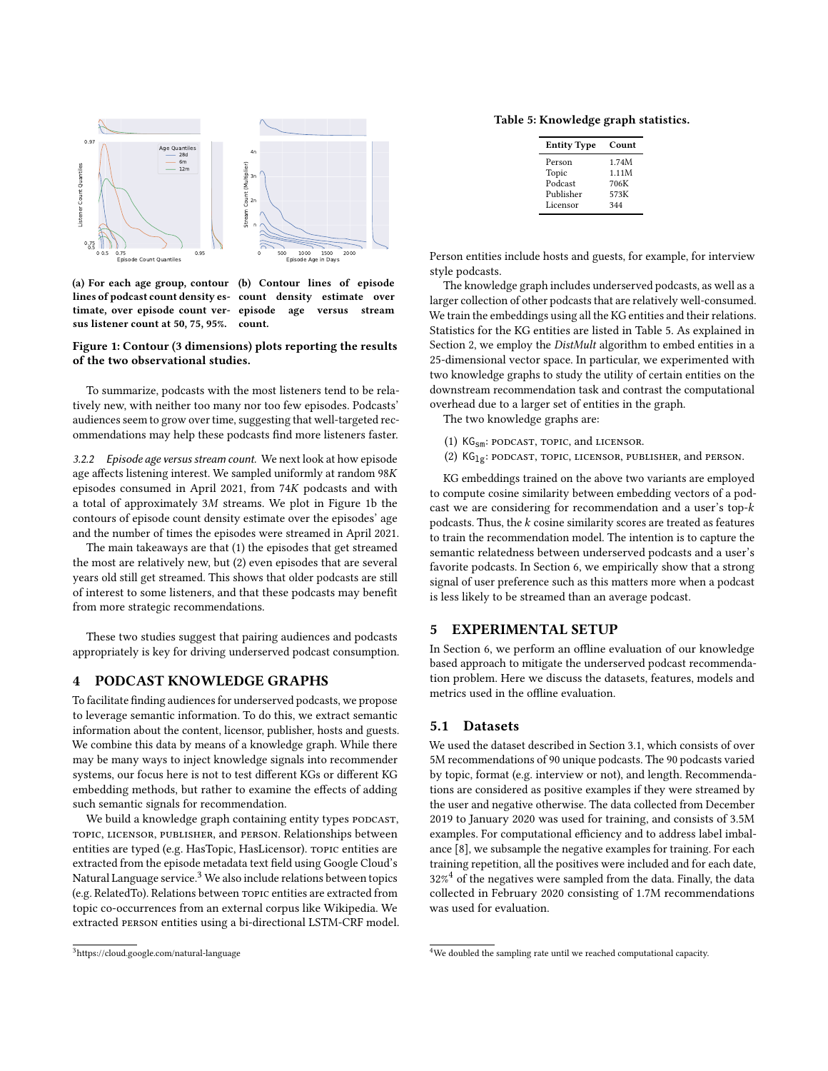<span id="page-4-0"></span>

(a) For each age group, contour (b) Contour lines of episode lines of podcast count density es-count density estimate over timate, over episode count ver-episode age versus stream sus listener count at 50, 75, 95%. count.

Figure 1: Contour (3 dimensions) plots reporting the results of the two observational studies.

To summarize, podcasts with the most listeners tend to be relatively new, with neither too many nor too few episodes. Podcasts' audiences seem to grow over time, suggesting that well-targeted recommendations may help these podcasts find more listeners faster.

3.2.2 Episode age versus stream count. We next look at how episode age affects listening interest. We sampled uniformly at random  $98K$ episodes consumed in April 2021, from  $74K$  podcasts and with a total of approximately  $3M$  streams. We plot in Figure [1b](#page-4-0) the contours of episode count density estimate over the episodes' age and the number of times the episodes were streamed in April 2021.

The main takeaways are that (1) the episodes that get streamed the most are relatively new, but (2) even episodes that are several years old still get streamed. This shows that older podcasts are still of interest to some listeners, and that these podcasts may benefit from more strategic recommendations.

These two studies suggest that pairing audiences and podcasts appropriately is key for driving underserved podcast consumption.

## <span id="page-4-4"></span>4 PODCAST KNOWLEDGE GRAPHS

To facilitate finding audiences for underserved podcasts, we propose to leverage semantic information. To do this, we extract semantic information about the content, licensor, publisher, hosts and guests. We combine this data by means of a knowledge graph. While there may be many ways to inject knowledge signals into recommender systems, our focus here is not to test different KGs or different KG embedding methods, but rather to examine the effects of adding such semantic signals for recommendation.

We build a knowledge graph containing entity types PODCAST, topic, licensor, publisher, and person. Relationships between entities are typed (e.g. HasTopic, HasLicensor). topic entities are extracted from the episode metadata text field using Google Cloud's Natural Language service.<sup>[3](#page-4-1)</sup> We also include relations between topics (e.g. RelatedTo). Relations between topic entities are extracted from topic co-occurrences from an external corpus like Wikipedia. We extracted person entities using a bi-directional LSTM-CRF model.

<span id="page-4-2"></span>Table 5: Knowledge graph statistics.

| <b>Entity Type</b> | Count |
|--------------------|-------|
| Person             | 1.74M |
| Topic              | 1.11M |
| Podcast            | 706K  |
| Publisher          | 573K  |
| Licensor           | 344   |
|                    |       |

Person entities include hosts and guests, for example, for interview style podcasts.

The knowledge graph includes underserved podcasts, as well as a larger collection of other podcasts that are relatively well-consumed. We train the embeddings using all the KG entities and their relations. Statistics for the KG entities are listed in Table [5.](#page-4-2) As explained in Section [2,](#page-1-0) we employ the DistMult algorithm to embed entities in a 25-dimensional vector space. In particular, we experimented with two knowledge graphs to study the utility of certain entities on the downstream recommendation task and contrast the computational overhead due to a larger set of entities in the graph.

The two knowledge graphs are:

- (1)  $KG_{sm}:$  podcast, topic, and licensor.
- (2)  $KG_{1g}$ : podcast, topic, licensor, publisher, and person.

KG embeddings trained on the above two variants are employed to compute cosine similarity between embedding vectors of a podcast we are considering for recommendation and a user's top- $k$ podcasts. Thus, the  $k$  cosine similarity scores are treated as features to train the recommendation model. The intention is to capture the semantic relatedness between underserved podcasts and a user's favorite podcasts. In Section [6,](#page-5-0) we empirically show that a strong signal of user preference such as this matters more when a podcast is less likely to be streamed than an average podcast.

#### 5 EXPERIMENTAL SETUP

In Section [6,](#page-5-0) we perform an offline evaluation of our knowledge based approach to mitigate the underserved podcast recommendation problem. Here we discuss the datasets, features, models and metrics used in the offline evaluation.

#### 5.1 Datasets

We used the dataset described in Section [3.1,](#page-2-0) which consists of over 5M recommendations of 90 unique podcasts. The 90 podcasts varied by topic, format (e.g. interview or not), and length. Recommendations are considered as positive examples if they were streamed by the user and negative otherwise. The data collected from December 2019 to January 2020 was used for training, and consists of 3.5M examples. For computational efficiency and to address label imbalance [\[8\]](#page-9-27), we subsample the negative examples for training. For each training repetition, all the positives were included and for each date,  $32\%$ <sup>[4](#page-4-3)</sup> of the negatives were sampled from the data. Finally, the data collected in February 2020 consisting of 1.7M recommendations was used for evaluation.

<span id="page-4-1"></span><sup>3</sup>https://cloud.google.com/natural-language

<span id="page-4-3"></span><sup>&</sup>lt;sup>4</sup>We doubled the sampling rate until we reached computational capacity.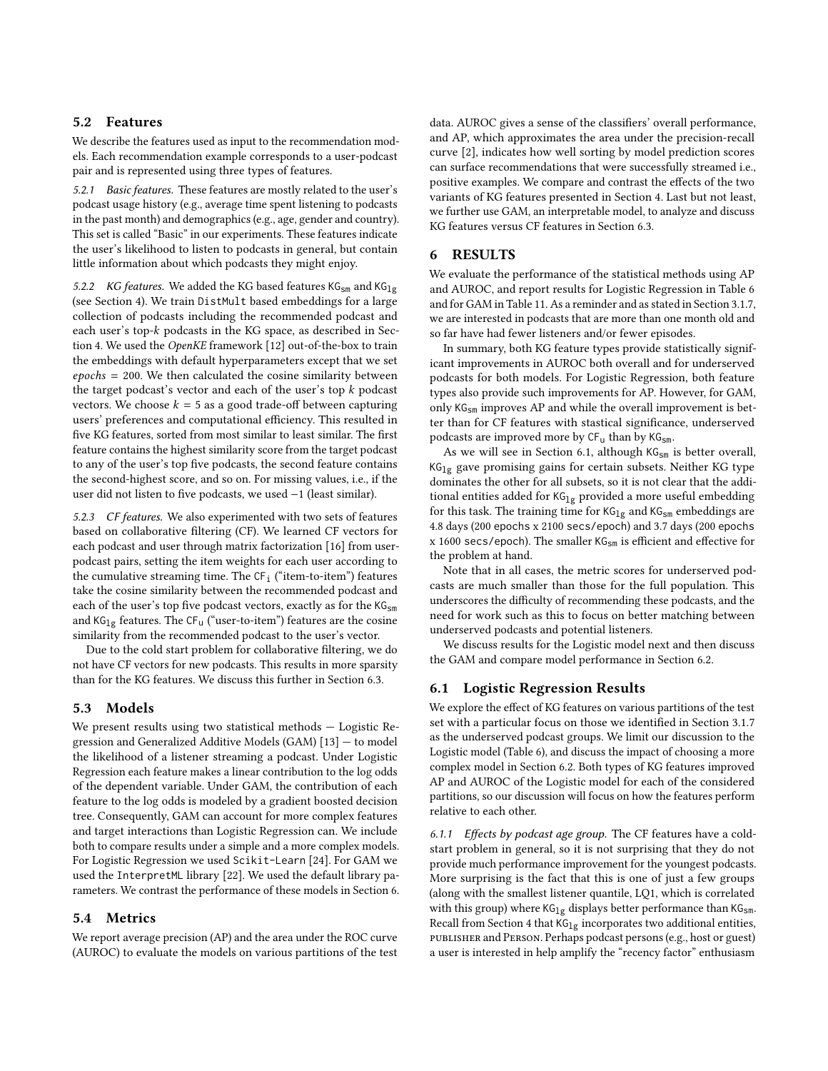#### 5.2 Features

We describe the features used as input to the recommendation models. Each recommendation example corresponds to a user-podcast pair and is represented using three types of features.

5.2.1 Basic features. These features are mostly related to the user's podcast usage history (e.g., average time spent listening to podcasts in the past month) and demographics (e.g., age, gender and country). This set is called "Basic" in our experiments. These features indicate the user's likelihood to listen to podcasts in general, but contain little information about which podcasts they might enjoy.

5.2.2 KG features. We added the KG based features  $KG_{sm}$  and  $KG_{lg}$ (see Section [4\)](#page-4-4). We train DistMult based embeddings for a large collection of podcasts including the recommended podcast and each user's top-k podcasts in the KG space, as described in Section [4.](#page-4-4) We used the OpenKE framework [\[12\]](#page-9-28) out-of-the-box to train the embeddings with default hyperparameters except that we set  $epochs = 200$ . We then calculated the cosine similarity between the target podcast's vector and each of the user's top  $k$  podcast vectors. We choose  $k = 5$  as a good trade-off between capturing users' preferences and computational efficiency. This resulted in five KG features, sorted from most similar to least similar. The first feature contains the highest similarity score from the target podcast to any of the user's top five podcasts, the second feature contains the second-highest score, and so on. For missing values, i.e., if the user did not listen to five podcasts, we used −1 (least similar).

5.2.3 CF features. We also experimented with two sets of features based on collaborative filtering (CF). We learned CF vectors for each podcast and user through matrix factorization [\[16\]](#page-9-29) from userpodcast pairs, setting the item weights for each user according to the cumulative streaming time. The  $CF_i$  ("item-to-item") features take the cosine similarity between the recommended podcast and each of the user's top five podcast vectors, exactly as for the KG<sub>sm</sub> and  $KG_{1g}$  features. The CF<sub>u</sub> ("user-to-item") features are the cosine similarity from the recommended podcast to the user's vector.

Due to the cold start problem for collaborative filtering, we do not have CF vectors for new podcasts. This results in more sparsity than for the KG features. We discuss this further in Section [6.3.](#page-7-0)

#### 5.3 Models

We present results using two statistical methods — Logistic Regression and Generalized Additive Models (GAM) [\[13\]](#page-9-30) — to model the likelihood of a listener streaming a podcast. Under Logistic Regression each feature makes a linear contribution to the log odds of the dependent variable. Under GAM, the contribution of each feature to the log odds is modeled by a gradient boosted decision tree. Consequently, GAM can account for more complex features and target interactions than Logistic Regression can. We include both to compare results under a simple and a more complex models. For Logistic Regression we used Scikit-Learn [\[24\]](#page-9-31). For GAM we used the InterpretML library [\[22\]](#page-9-32). We used the default library parameters. We contrast the performance of these models in Section [6.](#page-5-0)

#### 5.4 Metrics

We report average precision (AP) and the area under the ROC curve (AUROC) to evaluate the models on various partitions of the test data. AUROC gives a sense of the classifiers' overall performance, and AP, which approximates the area under the precision-recall curve [\[2\]](#page-9-33), indicates how well sorting by model prediction scores can surface recommendations that were successfully streamed i.e., positive examples. We compare and contrast the effects of the two variants of KG features presented in Section [4.](#page-4-4) Last but not least, we further use GAM, an interpretable model, to analyze and discuss KG features versus CF features in Section [6.3.](#page-7-0)

### <span id="page-5-0"></span>6 RESULTS

We evaluate the performance of the statistical methods using AP and AUROC, and report results for Logistic Regression in Table [6](#page-6-0) and for GAM in Table [11.](#page-8-0) As a reminder and as stated in Section [3.1.7,](#page-3-3) we are interested in podcasts that are more than one month old and so far have had fewer listeners and/or fewer episodes.

In summary, both KG feature types provide statistically significant improvements in AUROC both overall and for underserved podcasts for both models. For Logistic Regression, both feature types also provide such improvements for AP. However, for GAM, only KGsm improves AP and while the overall improvement is better than for CF features with stastical significance, underserved podcasts are improved more by  $CF_u$  than by  $KG_{sm}$ .

As we will see in Section [6.1,](#page-5-1) although  $KG_{sm}$  is better overall,  $KG_{1g}$  gave promising gains for certain subsets. Neither KG type dominates the other for all subsets, so it is not clear that the additional entities added for  $KG_{1g}$  provided a more useful embedding for this task. The training time for  $KG_{1g}$  and  $KG_{sm}$  embeddings are 4.8 days (200 epochs x 2100 secs/epoch) and 3.7 days (200 epochs x 1600 secs/epoch). The smaller KGsm is efficient and effective for the problem at hand.

Note that in all cases, the metric scores for underserved podcasts are much smaller than those for the full population. This underscores the difficulty of recommending these podcasts, and the need for work such as this to focus on better matching between underserved podcasts and potential listeners.

We discuss results for the Logistic model next and then discuss the GAM and compare model performance in Section [6.2.](#page-7-1)

#### <span id="page-5-1"></span>6.1 Logistic Regression Results

We explore the effect of KG features on various partitions of the test set with a particular focus on those we identified in Section [3.1.7](#page-3-3) as the underserved podcast groups. We limit our discussion to the Logistic model (Table [6\)](#page-6-0), and discuss the impact of choosing a more complex model in Section [6.2.](#page-7-1) Both types of KG features improved AP and AUROC of the Logistic model for each of the considered partitions, so our discussion will focus on how the features perform relative to each other.

6.1.1 Effects by podcast age group. The CF features have a coldstart problem in general, so it is not surprising that they do not provide much performance improvement for the youngest podcasts. More surprising is the fact that this is one of just a few groups (along with the smallest listener quantile, LQ1, which is correlated with this group) where  $KG_{1g}$  displays better performance than  $KG_{sm}$ . Recall from Section [4](#page-4-4) that  $KG_{1g}$  incorporates two additional entities, publisher and Person. Perhaps podcast persons (e.g., host or guest) a user is interested in help amplify the "recency factor" enthusiasm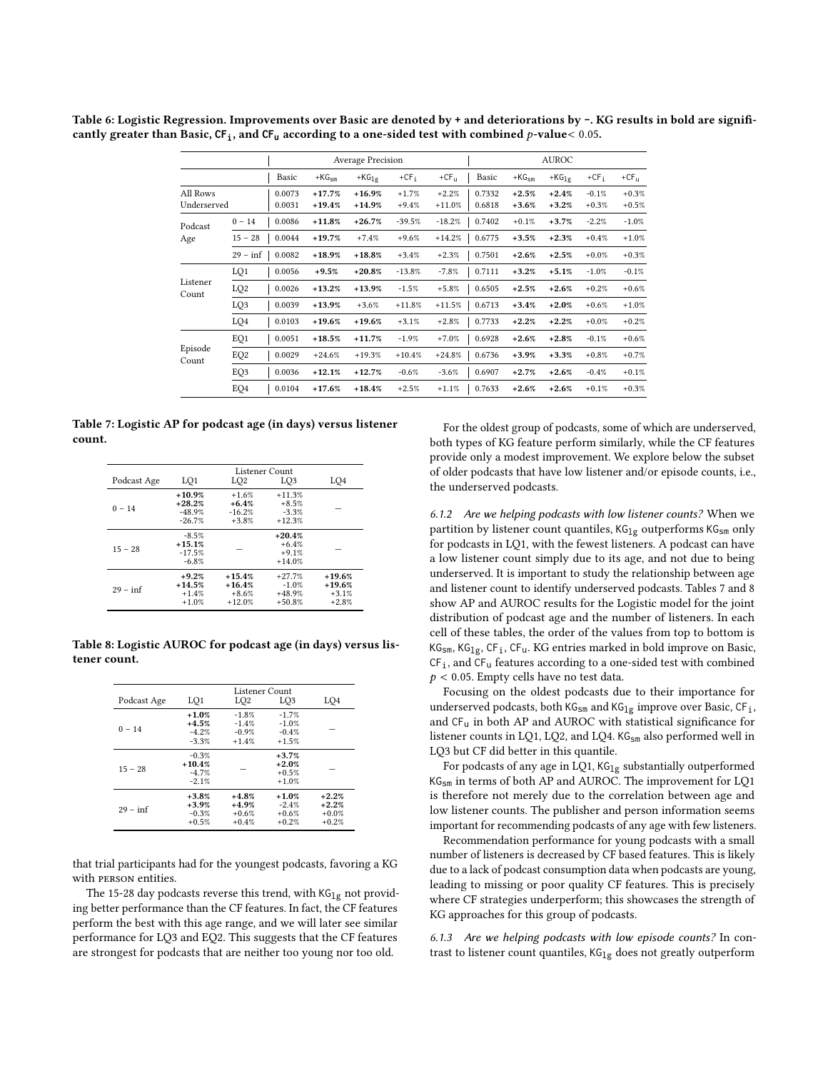|                         |                 |                  |                      | <b>Average Precision</b> |                    |                     |                  |                    | <b>AUROC</b>       |                    |                    |
|-------------------------|-----------------|------------------|----------------------|--------------------------|--------------------|---------------------|------------------|--------------------|--------------------|--------------------|--------------------|
|                         |                 | Basic            | $+KG_{sm}$           | $+KG_{1g}$               | $+CFi$             | $+CF_{11}$          | Basic            | $+KG_{sm}$         | $+KG_{1g}$         | $+CFi$             | $+CF_{11}$         |
| All Rows<br>Underserved |                 | 0.0073<br>0.0031 | $+17.7%$<br>$+19.4%$ | $+16.9%$<br>$+14.9%$     | $+1.7%$<br>$+9.4%$ | $+2.2%$<br>$+11.0%$ | 0.7332<br>0.6818 | $+2.5%$<br>$+3.6%$ | $+2.4%$<br>$+3.2%$ | $-0.1%$<br>$+0.3%$ | $+0.3%$<br>$+0.5%$ |
| Podcast                 | $0 - 14$        | 0.0086           | $+11.8%$             | $+26.7%$                 | $-39.5%$           | $-18.2%$            | 0.7402           | $+0.1%$            | $+3.7%$            | $-2.2%$            | $-1.0%$            |
| Age                     | $15 - 28$       | 0.0044           | $+19.7%$             | $+7.4%$                  | $+9.6%$            | $+14.2%$            | 0.6775           | $+3.5%$            | $+2.3%$            | $+0.4%$            | $+1.0%$            |
|                         | $29 - inf$      | 0.0082           | $+18.9%$             | $+18.8%$                 | $+3.4%$            | $+2.3%$             | 0.7501           | $+2.6%$            | $+2.5%$            | $+0.0%$            | $+0.3%$            |
|                         | LQ1             | 0.0056           | $+9.5%$              | $+20.8%$                 | $-13.8%$           | $-7.8%$             | 0.7111           | $+3.2%$            | $+5.1%$            | $-1.0%$            | $-0.1%$            |
| Listener<br>Count       | LQ <sub>2</sub> | 0.0026           | $+13.2%$             | $+13.9%$                 | $-1.5%$            | $+5.8%$             | 0.6505           | $+2.5%$            | $+2.6%$            | $+0.2%$            | $+0.6%$            |
|                         | LQ3             | 0.0039           | $+13.9%$             | $+3.6\%$                 | $+11.8%$           | $+11.5%$            | 0.6713           | $+3.4%$            | $+2.0%$            | $+0.6%$            | $+1.0%$            |
|                         | LQ4             | 0.0103           | $+19.6%$             | $+19.6%$                 | $+3.1%$            | $+2.8%$             | 0.7733           | $+2.2%$            | $+2.2%$            | $+0.0%$            | $+0.2%$            |
|                         | EQ1             | 0.0051           | $+18.5%$             | $+11.7%$                 | $-1.9%$            | $+7.0%$             | 0.6928           | $+2.6%$            | $+2.8%$            | $-0.1%$            | $+0.6%$            |
| Episode<br>Count        | EQ <sub>2</sub> | 0.0029           | $+24.6%$             | $+19.3%$                 | $+10.4%$           | $+24.8%$            | 0.6736           | $+3.9%$            | $+3.3%$            | $+0.8\%$           | $+0.7%$            |
|                         | EQ3             | 0.0036           | $+12.1%$             | $+12.7%$                 | $-0.6%$            | $-3.6%$             | 0.6907           | $+2.7%$            | $+2.6%$            | $-0.4%$            | $+0.1%$            |
|                         | EQ4             | 0.0104           | $+17.6%$             | $+18.4%$                 | $+2.5%$            | $+1.1%$             | 0.7633           | $+2.6%$            | $+2.6%$            | $+0.1%$            | $+0.3%$            |

<span id="page-6-0"></span>Table 6: Logistic Regression. Improvements over Basic are denoted by **+** and deteriorations by **-**. KG results in bold are significantly greater than Basic,  $CF_i$ , and  $CF_u$  according to a one-sided test with combined p-value < 0.05.

<span id="page-6-1"></span>Table 7: Logistic AP for podcast age (in days) versus listener count.

| Podcast Age | LO <sub>1</sub>                              | LO2                                         | LO <sub>3</sub>                             | LO4                                        |
|-------------|----------------------------------------------|---------------------------------------------|---------------------------------------------|--------------------------------------------|
| $0 - 14$    | $+10.9%$<br>$+28.2%$<br>$-48.9%$<br>$-26.7%$ | $+1.6%$<br>$+6.4%$<br>$-16.2%$<br>$+3.8%$   | $+11.3%$<br>$+8.5%$<br>$-3.3%$<br>$+12.3%$  |                                            |
| $15 - 28$   | $-8.5%$<br>$+15.1%$<br>$-17.5%$<br>$-6.8%$   |                                             | $+20.4%$<br>$+6.4%$<br>$+9.1%$<br>$+14.0%$  |                                            |
| $29 - inf$  | $+9.2%$<br>$+14.5%$<br>$+1.4%$<br>$+1.0%$    | $+15.4%$<br>$+16.4%$<br>$+8.6%$<br>$+12.0%$ | $+27.7%$<br>$-1.0%$<br>$+48.9%$<br>$+50.8%$ | $+19.6%$<br>$+19.6%$<br>$+3.1%$<br>$+2.8%$ |

<span id="page-6-2"></span>Table 8: Logistic AUROC for podcast age (in days) versus listener count.

| Podcast Age | LQ1                                       | Listener Count<br>LO <sub>3</sub>        | LQ4                                      |                                          |
|-------------|-------------------------------------------|------------------------------------------|------------------------------------------|------------------------------------------|
|             |                                           | LO2                                      |                                          |                                          |
| $0 - 14$    | $+1.0%$<br>$+4.5%$<br>$-4.2%$<br>$-3.3%$  | $-1.8%$<br>$-1.4%$<br>$-0.9%$<br>$+1.4%$ | $-1.7%$<br>$-1.0%$<br>$-0.4%$<br>$+1.5%$ |                                          |
| $15 - 28$   | $-0.3%$<br>$+10.4%$<br>$-4.7%$<br>$-2.1%$ |                                          | $+3.7%$<br>$+2.0%$<br>$+0.5%$<br>$+1.0%$ |                                          |
| $29 - inf$  | $+3.8%$<br>$+3.9%$<br>$-0.3%$<br>$+0.5%$  | $+4.8%$<br>$+4.9%$<br>$+0.6%$<br>$+0.4%$ | $+1.0%$<br>$-2.4%$<br>$+0.6%$<br>$+0.2%$ | $+2.2%$<br>$+2.2%$<br>$+0.0%$<br>$+0.2%$ |

that trial participants had for the youngest podcasts, favoring a KG with person entities.

The 15-28 day podcasts reverse this trend, with  $KG_{1g}$  not providing better performance than the CF features. In fact, the CF features perform the best with this age range, and we will later see similar performance for LQ3 and EQ2. This suggests that the CF features are strongest for podcasts that are neither too young nor too old.

For the oldest group of podcasts, some of which are underserved, both types of KG feature perform similarly, while the CF features provide only a modest improvement. We explore below the subset of older podcasts that have low listener and/or episode counts, i.e., the underserved podcasts.

6.1.2 Are we helping podcasts with low listener counts? When we partition by listener count quantiles,  $KG_{1g}$  outperforms  $KG_{sm}$  only for podcasts in LQ1, with the fewest listeners. A podcast can have a low listener count simply due to its age, and not due to being underserved. It is important to study the relationship between age and listener count to identify underserved podcasts. Tables [7](#page-6-1) and [8](#page-6-2) show AP and AUROC results for the Logistic model for the joint distribution of podcast age and the number of listeners. In each cell of these tables, the order of the values from top to bottom is KG<sub>sm</sub>, KG<sub>1g</sub>, CF<sub>i</sub>, CF<sub>u</sub>. KG entries marked in bold improve on Basic,  $\textsf{CF}_{\textsf{i}}$  , and  $\textsf{CF}_{\textsf{u}}$  features according to a one-sided test with combined  $p < 0.05$ . Empty cells have no test data.

Focusing on the oldest podcasts due to their importance for underserved podcasts, both  $\mathsf{KG}_{\mathsf{sm}}$  and  $\mathsf{KG}_{\mathsf{lg}}$  improve over Basic,  $\mathsf{CF}_{\mathsf{i}}$ , and CF<sup>u</sup> in both AP and AUROC with statistical significance for listener counts in LQ1, LQ2, and LQ4. KG<sub>sm</sub> also performed well in LQ3 but CF did better in this quantile.

For podcasts of any age in LQ1,  $KG_{1g}$  substantially outperformed KGsm in terms of both AP and AUROC. The improvement for LQ1 is therefore not merely due to the correlation between age and low listener counts. The publisher and person information seems important for recommending podcasts of any age with few listeners.

Recommendation performance for young podcasts with a small number of listeners is decreased by CF based features. This is likely due to a lack of podcast consumption data when podcasts are young, leading to missing or poor quality CF features. This is precisely where CF strategies underperform; this showcases the strength of KG approaches for this group of podcasts.

6.1.3 Are we helping podcasts with low episode counts? In contrast to listener count quantiles,  $KG_{1g}$  does not greatly outperform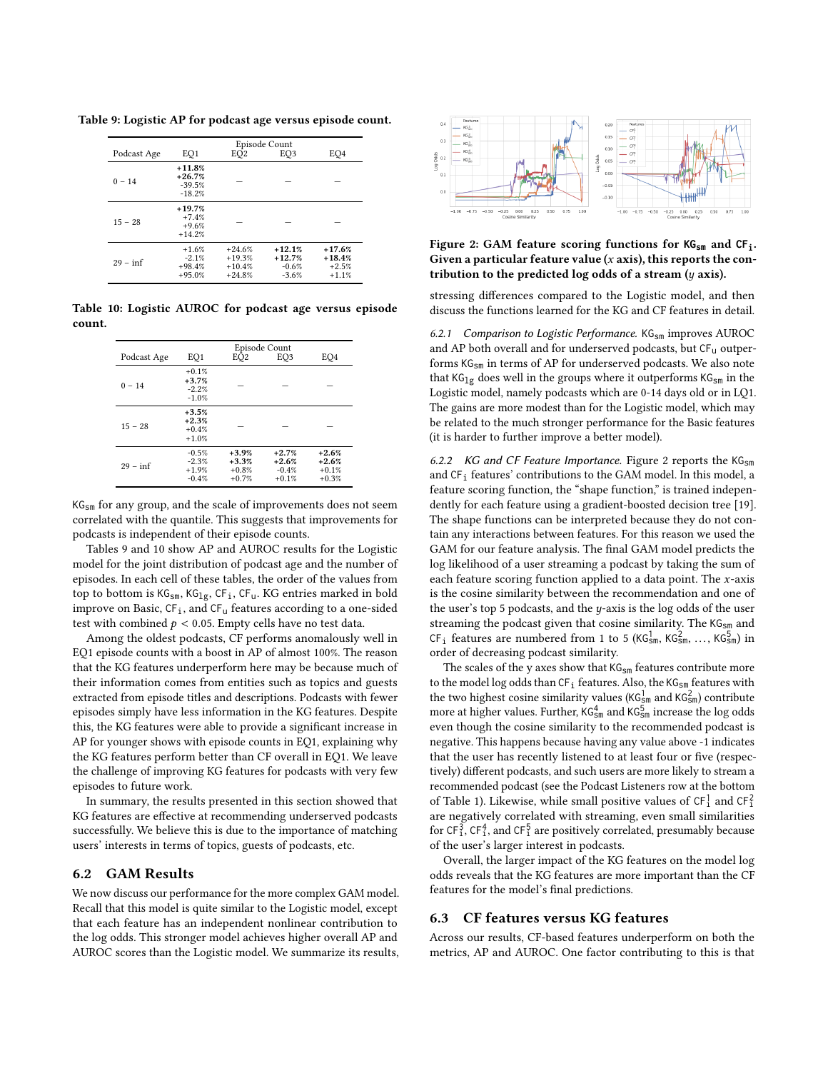<span id="page-7-2"></span>Table 9: Logistic AP for podcast age versus episode count.

| Podcast Age | EQ1                                          | EO <sub>2</sub>                              | Episode Count<br>EO3                       | EO4                                        |
|-------------|----------------------------------------------|----------------------------------------------|--------------------------------------------|--------------------------------------------|
| $0 - 14$    | $+11.8%$<br>$+26.7%$<br>$-39.5%$<br>$-18.2%$ |                                              |                                            |                                            |
| $15 - 28$   | $+19.7%$<br>$+7.4%$<br>$+9.6%$<br>$+14.2%$   |                                              |                                            |                                            |
| $29 - inf$  | $+1.6%$<br>$-2.1%$<br>$+98.4%$<br>$+95.0%$   | $+24.6%$<br>$+19.3%$<br>$+10.4%$<br>$+24.8%$ | $+12.1%$<br>$+12.7%$<br>$-0.6%$<br>$-3.6%$ | $+17.6%$<br>$+18.4%$<br>$+2.5%$<br>$+1.1%$ |

<span id="page-7-3"></span>Table 10: Logistic AUROC for podcast age versus episode count.

|             | Episode Count                            |                                          |                                          |                                          |  |  |  |  |  |  |
|-------------|------------------------------------------|------------------------------------------|------------------------------------------|------------------------------------------|--|--|--|--|--|--|
| Podcast Age | EO1                                      | EÒ <sub>2</sub>                          | EO <sub>3</sub>                          | EO <sub>4</sub>                          |  |  |  |  |  |  |
| $0 - 14$    | $+0.1%$<br>$+3.7%$<br>$-2.2%$<br>$-1.0%$ |                                          |                                          |                                          |  |  |  |  |  |  |
| $15 - 28$   | $+3.5%$<br>$+2.3%$<br>$+0.4%$<br>$+1.0%$ |                                          |                                          |                                          |  |  |  |  |  |  |
| $29 - inf$  | $-0.5%$<br>$-2.3%$<br>$+1.9%$<br>$-0.4%$ | $+3.9%$<br>$+3.3%$<br>$+0.8%$<br>$+0.7%$ | $+2.7%$<br>$+2.6%$<br>$-0.4%$<br>$+0.1%$ | $+2.6%$<br>$+2.6%$<br>$+0.1%$<br>$+0.3%$ |  |  |  |  |  |  |

KG<sub>sm</sub> for any group, and the scale of improvements does not seem correlated with the quantile. This suggests that improvements for podcasts is independent of their episode counts.

Tables [9](#page-7-2) and [10](#page-7-3) show AP and AUROC results for the Logistic model for the joint distribution of podcast age and the number of episodes. In each cell of these tables, the order of the values from top to bottom is  $KG_{sm}$ ,  $KG_{1g}$ ,  $CF_i$ ,  $CF_u$ . KG entries marked in bold improve on Basic,  $CF_i$ , and  $CF_u$  features according to a one-sided test with combined  $p < 0.05$ . Empty cells have no test data.

Among the oldest podcasts, CF performs anomalously well in EQ1 episode counts with a boost in AP of almost 100%. The reason that the KG features underperform here may be because much of their information comes from entities such as topics and guests extracted from episode titles and descriptions. Podcasts with fewer episodes simply have less information in the KG features. Despite this, the KG features were able to provide a significant increase in AP for younger shows with episode counts in EQ1, explaining why the KG features perform better than CF overall in EQ1. We leave the challenge of improving KG features for podcasts with very few episodes to future work.

In summary, the results presented in this section showed that KG features are effective at recommending underserved podcasts successfully. We believe this is due to the importance of matching users' interests in terms of topics, guests of podcasts, etc.

#### <span id="page-7-1"></span>6.2 GAM Results

We now discuss our performance for the more complex GAM model. Recall that this model is quite similar to the Logistic model, except that each feature has an independent nonlinear contribution to the log odds. This stronger model achieves higher overall AP and AUROC scores than the Logistic model. We summarize its results,

<span id="page-7-4"></span>

Figure 2: GAM feature scoring functions for **KGsm** and **CFi**. Given a particular feature value  $(x \text{ axis})$ , this reports the contribution to the predicted log odds of a stream  $(y \text{ axis})$ .

stressing differences compared to the Logistic model, and then discuss the functions learned for the KG and CF features in detail.

6.2.1 Comparison to Logistic Performance.  $KG_{sm}$  improves  $AUROC$ and AP both overall and for underserved podcasts, but CF<sub>u</sub> outperforms KG<sub>sm</sub> in terms of AP for underserved podcasts. We also note that  $KG_{1g}$  does well in the groups where it outperforms  $KG_{sm}$  in the Logistic model, namely podcasts which are 0-14 days old or in LQ1. The gains are more modest than for the Logistic model, which may be related to the much stronger performance for the Basic features (it is harder to further improve a better model).

6.2.2 KG and CF Feature Importance. Figure [2](#page-7-4) reports the  $KG_{sm}$ and CF<sub>i</sub> features' contributions to the GAM model. In this model, a feature scoring function, the "shape function," is trained independently for each feature using a gradient-boosted decision tree [\[19\]](#page-9-34). The shape functions can be interpreted because they do not contain any interactions between features. For this reason we used the GAM for our feature analysis. The final GAM model predicts the log likelihood of a user streaming a podcast by taking the sum of each feature scoring function applied to a data point. The  $x$ -axis is the cosine similarity between the recommendation and one of the user's top 5 podcasts, and the  $y$ -axis is the log odds of the user streaming the podcast given that cosine similarity. The KG<sub>sm</sub> and CF<sub>i</sub> features are numbered from 1 to 5 (KG<sub>Sm</sub>, KG<sub>Sm</sub>, ..., KG<sub>Sm</sub>) in order of decreasing podcast similarity.

The scales of the y axes show that  $KG_{sm}$  features contribute more to the model log odds than  $\textsf{CF}_\textup{1}$  features. Also, the  $\textsf{KG}_\textsf{sm}$  features with the two highest cosine similarity values ( $\mathsf{KG}_{\mathsf{sm}}^1$  and  $\mathsf{KG}_{\mathsf{sm}}^2$ ) contribute more at higher values. Further,  $\mathtt{KG_{sm}^{4}}$  and  $\mathtt{KG_{sm}^{5}}$  increase the log odds even though the cosine similarity to the recommended podcast is negative. This happens because having any value above -1 indicates that the user has recently listened to at least four or five (respectively) different podcasts, and such users are more likely to stream a recommended podcast (see the Podcast Listeners row at the bottom of Table [1\)](#page-2-2). Likewise, while small positive values of  $\texttt{CF}_{1}^{1}$  and  $\texttt{CF}_{1}^{2}$ are negatively correlated with streaming, even small similarities for CF $_1^3$ , CF $_1^4$ , and CF $_1^5$  are positively correlated, presumably because of the user's larger interest in podcasts.

Overall, the larger impact of the KG features on the model log odds reveals that the KG features are more important than the CF features for the model's final predictions.

#### <span id="page-7-0"></span>6.3 CF features versus KG features

Across our results, CF-based features underperform on both the metrics, AP and AUROC. One factor contributing to this is that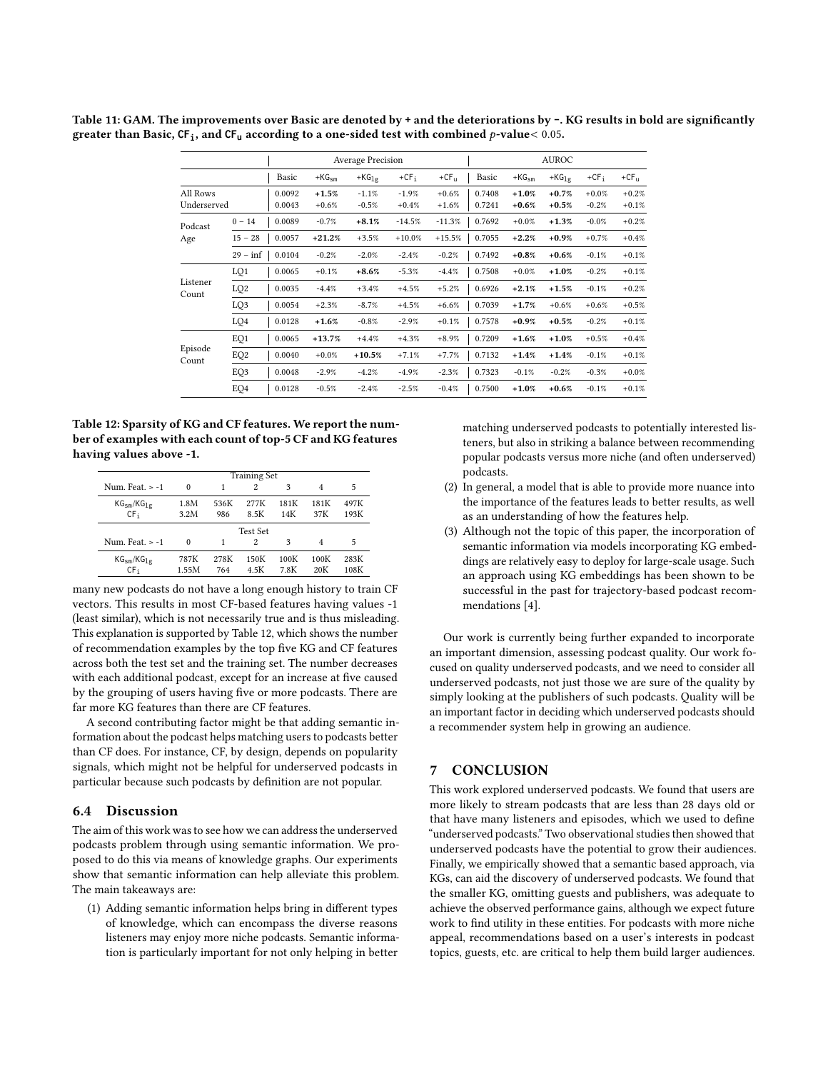|                         |                 |                  |                    | <b>Average Precision</b> |                    |                    |                  |                    | <b>AUROC</b>       |                    |                    |
|-------------------------|-----------------|------------------|--------------------|--------------------------|--------------------|--------------------|------------------|--------------------|--------------------|--------------------|--------------------|
|                         |                 | Basic            | $+KG_{sm}$         | $+KG_{1g}$               | $+CFi$             | $+CF_{U}$          | Basic            | $+KG_{sm}$         | $+KG_{1g}$         | $+CFi$             | $+CFu$             |
| All Rows<br>Underserved |                 | 0.0092<br>0.0043 | $+1.5%$<br>$+0.6%$ | $-1.1%$<br>$-0.5%$       | $-1.9%$<br>$+0.4%$ | $+0.6%$<br>$+1.6%$ | 0.7408<br>0.7241 | $+1.0%$<br>$+0.6%$ | $+0.7%$<br>$+0.5%$ | $+0.0%$<br>$-0.2%$ | $+0.2%$<br>$+0.1%$ |
| Podcast                 | $0 - 14$        | 0.0089           | $-0.7%$            | $+8.1%$                  | $-14.5%$           | $-11.3%$           | 0.7692           | $+0.0%$            | $+1.3%$            | $-0.0%$            | $+0.2%$            |
| Age                     | $15 - 28$       | 0.0057           | $+21.2%$           | $+3.5%$                  | $+10.0%$           | $+15.5%$           | 0.7055           | $+2.2%$            | $+0.9%$            | $+0.7%$            | $+0.4%$            |
|                         | $29 - inf$      | 0.0104           | $-0.2%$            | $-2.0%$                  | $-2.4%$            | $-0.2%$            | 0.7492           | $+0.8%$            | $+0.6%$            | $-0.1%$            | $+0.1%$            |
|                         | LQ1             | 0.0065           | $+0.1%$            | $+8.6%$                  | $-5.3%$            | $-4.4%$            | 0.7508           | $+0.0%$            | $+1.0%$            | $-0.2%$            | $+0.1%$            |
| Listener<br>Count       | LQ <sub>2</sub> | 0.0035           | $-4.4%$            | $+3.4%$                  | $+4.5%$            | $+5.2%$            | 0.6926           | $+2.1%$            | $+1.5%$            | $-0.1%$            | $+0.2%$            |
|                         | LQ3             | 0.0054           | $+2.3%$            | $-8.7%$                  | $+4.5%$            | $+6.6%$            | 0.7039           | $+1.7%$            | $+0.6%$            | $+0.6%$            | $+0.5%$            |
|                         | LQ4             | 0.0128           | $+1.6%$            | $-0.8%$                  | $-2.9%$            | $+0.1%$            | 0.7578           | $+0.9%$            | $+0.5%$            | $-0.2%$            | $+0.1%$            |
|                         | EQ1             | 0.0065           | $+13.7%$           | $+4.4%$                  | $+4.3%$            | $+8.9%$            | 0.7209           | $+1.6%$            | $+1.0%$            | $+0.5%$            | $+0.4%$            |
| Episode<br>Count        | EQ <sub>2</sub> | 0.0040           | $+0.0%$            | $+10.5%$                 | $+7.1%$            | $+7.7%$            | 0.7132           | $+1.4%$            | $+1.4%$            | $-0.1%$            | $+0.1%$            |
|                         | EQ3             | 0.0048           | $-2.9%$            | $-4.2%$                  | $-4.9%$            | $-2.3%$            | 0.7323           | $-0.1%$            | $-0.2%$            | $-0.3%$            | $+0.0%$            |
|                         | EQ4             | 0.0128           | $-0.5%$            | $-2.4%$                  | $-2.5%$            | $-0.4%$            | 0.7500           | $+1.0%$            | $+0.6%$            | $-0.1%$            | $+0.1%$            |

<span id="page-8-0"></span>Table 11: GAM. The improvements over Basic are denoted by **+** and the deteriorations by **-**. KG results in bold are significantly greater than Basic,  $CF_1$ , and  $CF_0$  according to a one-sided test with combined  $p$ -value< 0.05.

<span id="page-8-1"></span>Table 12: Sparsity of KG and CF features. We report the number of examples with each count of top-5 CF and KG features having values above -1.

|                   | <b>Training Set</b> |      |          |      |      |      |  |  |  |  |  |  |
|-------------------|---------------------|------|----------|------|------|------|--|--|--|--|--|--|
| Num. Feat. > -1   | $\Omega$            |      | 2        | 3    | 4    | 5    |  |  |  |  |  |  |
| $KG_{sm}/KG_{1g}$ | 1.8M                | 536K | 277K     | 181K | 181K | 497K |  |  |  |  |  |  |
| CF <sub>i</sub>   | 3.2M                | 986  | 8.5K     | 14K  | 37K  | 193K |  |  |  |  |  |  |
|                   |                     |      | Test Set |      |      |      |  |  |  |  |  |  |
| Num. Feat. $> -1$ | $\Omega$            |      | 2        | 3    | 4    | 5    |  |  |  |  |  |  |
| $KG_{sm}/KG_{1g}$ | 787K                | 278K | 150K     | 100K | 100K | 283K |  |  |  |  |  |  |
| CF <sub>i</sub>   | 1.55M               | 764  | 4.5K     | 7.8K | 20K  | 108K |  |  |  |  |  |  |

many new podcasts do not have a long enough history to train CF vectors. This results in most CF-based features having values -1 (least similar), which is not necessarily true and is thus misleading. This explanation is supported by Table [12,](#page-8-1) which shows the number of recommendation examples by the top five KG and CF features across both the test set and the training set. The number decreases with each additional podcast, except for an increase at five caused by the grouping of users having five or more podcasts. There are far more KG features than there are CF features.

A second contributing factor might be that adding semantic information about the podcast helps matching users to podcasts better than CF does. For instance, CF, by design, depends on popularity signals, which might not be helpful for underserved podcasts in particular because such podcasts by definition are not popular.

# 6.4 Discussion

The aim of this work was to see how we can address the underserved podcasts problem through using semantic information. We proposed to do this via means of knowledge graphs. Our experiments show that semantic information can help alleviate this problem. The main takeaways are:

(1) Adding semantic information helps bring in different types of knowledge, which can encompass the diverse reasons listeners may enjoy more niche podcasts. Semantic information is particularly important for not only helping in better

matching underserved podcasts to potentially interested listeners, but also in striking a balance between recommending popular podcasts versus more niche (and often underserved) podcasts.

- (2) In general, a model that is able to provide more nuance into the importance of the features leads to better results, as well as an understanding of how the features help.
- (3) Although not the topic of this paper, the incorporation of semantic information via models incorporating KG embeddings are relatively easy to deploy for large-scale usage. Such an approach using KG embeddings has been shown to be successful in the past for trajectory-based podcast recommendations [\[4\]](#page-9-35).

Our work is currently being further expanded to incorporate an important dimension, assessing podcast quality. Our work focused on quality underserved podcasts, and we need to consider all underserved podcasts, not just those we are sure of the quality by simply looking at the publishers of such podcasts. Quality will be an important factor in deciding which underserved podcasts should a recommender system help in growing an audience.

## 7 CONCLUSION

This work explored underserved podcasts. We found that users are more likely to stream podcasts that are less than 28 days old or that have many listeners and episodes, which we used to define "underserved podcasts." Two observational studies then showed that underserved podcasts have the potential to grow their audiences. Finally, we empirically showed that a semantic based approach, via KGs, can aid the discovery of underserved podcasts. We found that the smaller KG, omitting guests and publishers, was adequate to achieve the observed performance gains, although we expect future work to find utility in these entities. For podcasts with more niche appeal, recommendations based on a user's interests in podcast topics, guests, etc. are critical to help them build larger audiences.